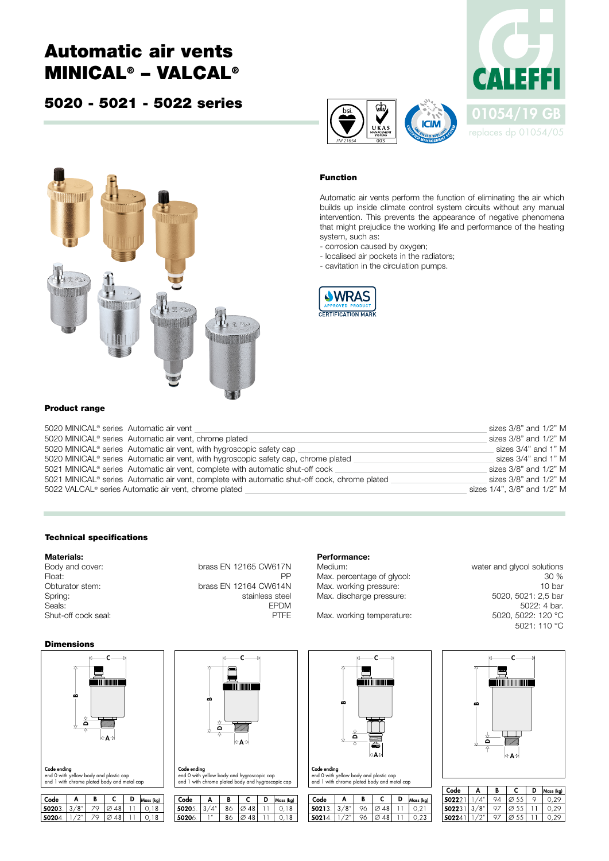# Automatic air vents MINICAL® – VALCAL®

### 5020 - 5021 - 5022 series





### Function

*FM 21654* 003

Automatic air vents perform the function of eliminating the air which builds up inside climate control system circuits without any manual intervention. This prevents the appearance of negative phenomena that might prejudice the working life and performance of the heating system, such as:

- corrosion caused by oxygen;
- localised air pockets in the radiators;
- cavitation in the circulation pumps.



#### Product range

| 5020 MINICAL <sup>®</sup> series Automatic air vent                                           | sizes 3/8" and 1/2" M       |
|-----------------------------------------------------------------------------------------------|-----------------------------|
| 5020 MINICAL <sup>®</sup> series Automatic air vent, chrome plated                            | sizes 3/8" and 1/2" M       |
| 5020 MINICAL <sup>®</sup> series Automatic air vent, with hygroscopic safety cap              | sizes 3/4" and 1" M         |
| 5020 MINICAL® series Automatic air vent, with hygroscopic safety cap, chrome plated           | sizes 3/4" and 1" M         |
| 5021 MINICAL® series Automatic air vent, complete with automatic shut-off cock                | sizes 3/8" and 1/2" M       |
| 5021 MINICAL® series Automatic air vent, complete with automatic shut-off cock, chrome plated | sizes 3/8" and 1/2" M       |
| 5022 VALCAL <sup>®</sup> series Automatic air vent, chrome plated                             | sizes 1/4", 3/8" and 1/2" M |

#### Technical specifications

## **Materials:**<br>Body and cover:

Shut-off cock seal: PTFE

brass EN 12165 CW617N Float: PPC PRODUCER PRODUCER PRODUCER IN THE PRODUCER PRODUCER IN THE PRODUCER PRODUCER IN THE PRODUCER PRODUCER IN THE PRODUCER IN THE PRODUCER IN THE PRODUCER IN THE PRODUCER IN THE PRODUCER IN THE PRODUCER IN THE PRODUC Obturator stem: brass EN 12164 CW614N Spring: Spring: stainless steel<br>Seals: Seals: Seals: Seals: Seals: Seals: Seals: Seals: Seals: Seals: Seals: Seals: Seals: Seals: Seals: Seals: Seals: Seals: Seals: Seals: Seals: Seals: Seals: Seals: Seals: Seals: Seals: S Seals: EPDM

## Performance:<br>Medium:

Max. percentage of glycol:  $\frac{30\%}{200\%}$  30 % Max. working pressure: 10 bar<br>
Max. discharge pressure: 5020, 5021: 2,5 bar Max. discharge pressure:

Max. working temperature:

water and glycol solutions 5022: 4 bar.<br>5020, 5022: 120 °C 5021: 110 °C

#### Dimensions



end 0 with yellow body and plastic cap end 1 with chrome plated body and metal cap

| Code  |        | п                        |          | Mass (kg)   | Code  |              |               |                         | Mass (kg) | $\overline{\phantom{a}}$<br>Code | Ð                    |    |                  | Mass (kg) |
|-------|--------|--------------------------|----------|-------------|-------|--------------|---------------|-------------------------|-----------|----------------------------------|----------------------|----|------------------|-----------|
| 50203 | $\sim$ | $\overline{\phantom{a}}$ | x<br>ັ   | U.<br>v     | 50205 |              | ಠ೦            | $-$<br>$\sim$<br>x<br>ັ | 18<br>v.  | 502                              | 10 <sup>o</sup><br>w | 96 | ້                | ◡.∠       |
| 50204 | -      | $-$                      | ' Z<br>ັ | ັ<br>$\sim$ | 50206 | $\mathbf{u}$ | $\sim$<br>ಕಿಂ | $\sim$<br>x<br>◡        | 18<br>ັບ. | 50214                            | $2.05 - 11$<br>∼     | 96 | ~<br>້<br>$\sim$ | V.ZJ      |





 $A \mid B \mid C \mid D$ 50213.  $3/8''$  $96$   $\varnothing$  48  $-11$  $0,21$ 50214.  $1/2"$ 96  $\sqrt{248}$  $\overline{11}$  $0.23$ 



| Code  | А | B | D  | Mass (kg) |
|-------|---|---|----|-----------|
| 50222 |   |   | с. |           |
| 50223 |   |   |    |           |
| 50224 |   |   |    |           |